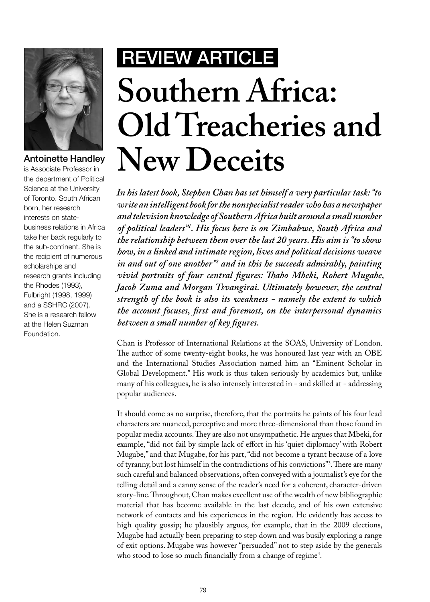

## Antoinette Handley

is Associate Professor in the department of Political Science at the University of Toronto. South African born, her research interests on statebusiness relations in Africa take her back regularly to the sub-continent. She is the recipient of numerous scholarships and research grants including the Rhodes (1993), Fulbright (1998, 1999) and a SSHRC (2007). She is a research fellow at the Helen Suzman Foundation.

## Review ARTICLE **Southern Africa: Old Treacheries and New Deceits**

*In his latest book, Stephen Chan has set himself a very particular task: "to write an intelligent book for the nonspecialist reader who has a newspaper and television knowledge of Southern Africa built around a small number of political leaders"1 . His focus here is on Zimbabwe, South Africa and the relationship between them over the last 20 years. His aim is "to show how, in a linked and intimate region, lives and political decisions weave in and out of one another"2 and in this he succeeds admirably, painting vivid portraits of four central figures: Thabo Mbeki, Robert Mugabe, Jacob Zuma and Morgan Tsvangirai. Ultimately however, the central strength of the book is also its weakness - namely the extent to which the account focuses, first and foremost, on the interpersonal dynamics between a small number of key figures.*

Chan is Professor of International Relations at the SOAS, University of London. The author of some twenty-eight books, he was honoured last year with an OBE and the International Studies Association named him an "Eminent Scholar in Global Development." His work is thus taken seriously by academics but, unlike many of his colleagues, he is also intensely interested in - and skilled at - addressing popular audiences.

It should come as no surprise, therefore, that the portraits he paints of his four lead characters are nuanced, perceptive and more three-dimensional than those found in popular media accounts. They are also not unsympathetic. He argues that Mbeki, for example, "did not fail by simple lack of effort in his 'quiet diplomacy' with Robert Mugabe," and that Mugabe, for his part, "did not become a tyrant because of a love of tyranny, but lost himself in the contradictions of his convictions"3 . There are many such careful and balanced observations, often conveyed with a journalist's eye for the telling detail and a canny sense of the reader's need for a coherent, character-driven story-line. Throughout, Chan makes excellent use of the wealth of new bibliographic material that has become available in the last decade, and of his own extensive network of contacts and his experiences in the region. He evidently has access to high quality gossip; he plausibly argues, for example, that in the 2009 elections, Mugabe had actually been preparing to step down and was busily exploring a range of exit options. Mugabe was however "persuaded" not to step aside by the generals who stood to lose so much financially from a change of regime $4$ .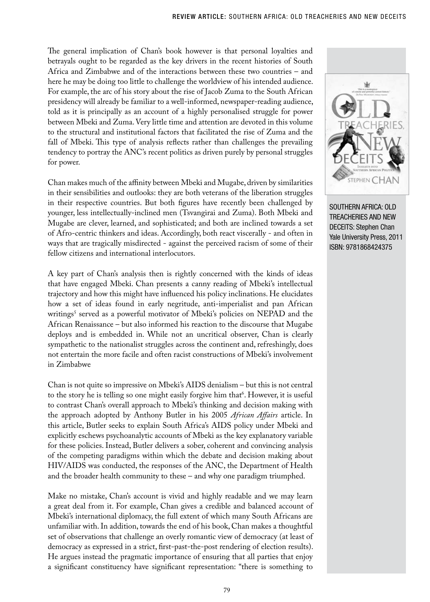The general implication of Chan's book however is that personal loyalties and betrayals ought to be regarded as the key drivers in the recent histories of South Africa and Zimbabwe and of the interactions between these two countries – and here he may be doing too little to challenge the worldview of his intended audience. For example, the arc of his story about the rise of Jacob Zuma to the South African presidency will already be familiar to a well-informed, newspaper-reading audience, told as it is principally as an account of a highly personalised struggle for power between Mbeki and Zuma. Very little time and attention are devoted in this volume to the structural and institutional factors that facilitated the rise of Zuma and the fall of Mbeki. This type of analysis reflects rather than challenges the prevailing tendency to portray the ANC's recent politics as driven purely by personal struggles for power.

Chan makes much of the affinity between Mbeki and Mugabe, driven by similarities in their sensibilities and outlooks: they are both veterans of the liberation struggles in their respective countries. But both figures have recently been challenged by younger, less intellectually-inclined men (Tsvangirai and Zuma). Both Mbeki and Mugabe are clever, learned, and sophisticated; and both are inclined towards a set of Afro-centric thinkers and ideas. Accordingly, both react viscerally - and often in ways that are tragically misdirected - against the perceived racism of some of their fellow citizens and international interlocutors.

A key part of Chan's analysis then is rightly concerned with the kinds of ideas that have engaged Mbeki. Chan presents a canny reading of Mbeki's intellectual trajectory and how this might have influenced his policy inclinations. He elucidates how a set of ideas found in early negritude, anti-imperialist and pan African writings' served as a powerful motivator of Mbeki's policies on NEPAD and the African Renaissance – but also informed his reaction to the discourse that Mugabe deploys and is embedded in. While not an uncritical observer, Chan is clearly sympathetic to the nationalist struggles across the continent and, refreshingly, does not entertain the more facile and often racist constructions of Mbeki's involvement in Zimbabwe

Chan is not quite so impressive on Mbeki's AIDS denialism – but this is not central to the story he is telling so one might easily forgive him that<sup>6</sup>. However, it is useful to contrast Chan's overall approach to Mbeki's thinking and decision making with the approach adopted by Anthony Butler in his 2005 *African Affairs* article. In this article, Butler seeks to explain South Africa's AIDS policy under Mbeki and explicitly eschews psychoanalytic accounts of Mbeki as the key explanatory variable for these policies. Instead, Butler delivers a sober, coherent and convincing analysis of the competing paradigms within which the debate and decision making about HIV/AIDS was conducted, the responses of the ANC, the Department of Health and the broader health community to these – and why one paradigm triumphed.

Make no mistake, Chan's account is vivid and highly readable and we may learn a great deal from it. For example, Chan gives a credible and balanced account of Mbeki's international diplomacy, the full extent of which many South Africans are unfamiliar with. In addition, towards the end of his book, Chan makes a thoughtful set of observations that challenge an overly romantic view of democracy (at least of democracy as expressed in a strict, first-past-the-post rendering of election results). He argues instead the pragmatic importance of ensuring that all parties that enjoy a significant constituency have significant representation: "there is something to



SOUTHERN AFRICA: OLD TREACHERIES AND NEW DECEITS: Stephen Chan Yale University Press, 2011 ISBN: 9781868424375